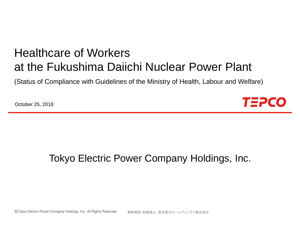# Healthcare of Workers at the Fukushima Daiichi Nuclear Power Plant

(Status of Compliance with Guidelines of the Ministry of Health, Labour and Welfare)

October 25, 2018



### Tokyo Electric Power Company Holdings, Inc.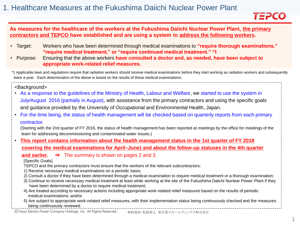

#### **As measures for the healthcare of the workers at the Fukushima Daiichi Nuclear Power Plant, the primary contractors and TEPCO have established and are using a system to address the following workers.**

- Target: Workers who have been determined through medical examinations to **"require thorough examinations," "require medical treatment," or "require continued medical treatment." \*1**
- Purpose: Ensuring that the above workers **have consulted a doctor and, as needed, have been subject to appropriate work-related relief measures.**

\*1 Applicable laws and regulations require that radiation workers should receive medical examinations before they start working as radiation workers and subsequently twice a year. Each determination of the above is based on the results of these medical examinations.

<Background>

- As a response to the guidelines of the Ministry of Health, Labour and Welfare, we started to use the system in July/August 2016 (partially in August), with assistance from the primary contractors and using the specific goals and guidance provided by the University of Occupational and Environmental Health, Japan.
- For the time being, the status of health management will be checked based on quarterly reports from each primary contractor.

(Starting with the 2nd quarter of FY 2016, the status of health management has been reported at meetings by the office for meetings of the team for addressing decommissioning and contaminated water issues.)

• **This report contains information about the health management status in the 1st quarter of FY 2018 covering the medical examinations for April–June) and about the follow-up statuses in the 4th quarter** 

**and earlier.** ⇒ The summary is shown on pages 2 and 3.

[Specific Goals]

TEPCO and the primary contractors must ensure that the workers of the relevant subcontractors:

- 1) Receive necessary medical examinations on a periodic basis;
- 2) Consult a doctor if they have been determined through a medical examination to require medical treatment or a thorough examination;
- 3) Continue to receive necessary medical treatment at least while working at the site of the Fukushima Daiichi Nuclear Power Plant if they have been determined by a doctor to require medical treatment;
- 4) Are treated according to necessary actions including appropriate work-related relief measures based on the results of periodic medical examinations; and/or
- 5) Are subject to appropriate work-related relief measures, with their implementation status being continuously checked and the measures being continuously reviewed.

©Tokyo Electric Power Company Holdings, Inc. All Rights Reserved.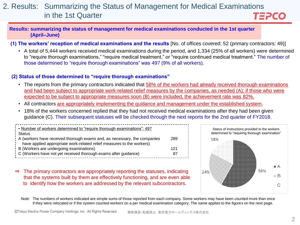#### 2. Results: Summarizing the Status of Management for Medical Examinations in the 1st Quarter TEPCO

#### **Results: summarizing the status of management for medical examinations conducted in the 1st quarter (April–June)**

**(1) The workers' reception of medical examinations and the results** [No. of offices covered: 52 (primary contractors: 49)]

• A total of 5,444 workers received medical examinations during the period, and 1,334 (25% of all workers) were determined to "require thorough examinations," "require medical treatment," or "require continued medical treatment." The number of those determined to "require thorough examinations" was 497 (9% of all workers).

#### **(2) Status of those determined to "require thorough examinations"**

- The reports from the primary contractors indicated that 58% of the workers had already received thorough examinations and had been subject to appropriate work-related relief measures by the companies, as needed (A); if those who were expected to be subject to appropriate measures soon (B) were included, the achievement rate was 82%.
- All contractors are appropriately implementing the guidance and management under the established system.
- 18% of the workers concerned replied that they had not received medical examinations after they had been given guidance (C). Their subsequent statuses will be checked through the next reports for the 2nd quarter of FY2018.

| Number of workers determined to "require thorough examinations": 497     |     |
|--------------------------------------------------------------------------|-----|
| Status                                                                   |     |
| A (workers have received thorough exams and, as necessary, the companies | 289 |
| have applied appropriate work-related relief measures to the workers)    |     |
| $\frac{1}{2}$ B (Workers are undergoing examinations)                    | 121 |
| : C (Workers have not yet received thorough exams after guidance)        | 87  |
|                                                                          |     |

⇒ The primary contractors are appropriately reporting the statuses, indicating that the systems built by them are effectively functioning, and are even able to identify how the workers are addressed by the relevant subcontractors.



Note: The numbers of workers indicated are simple sums of those reported from each company. Some workers may have been counted more than once if they were relocated or if the system counted workers on a per medical examination category. The same applies to the figures on the next page.